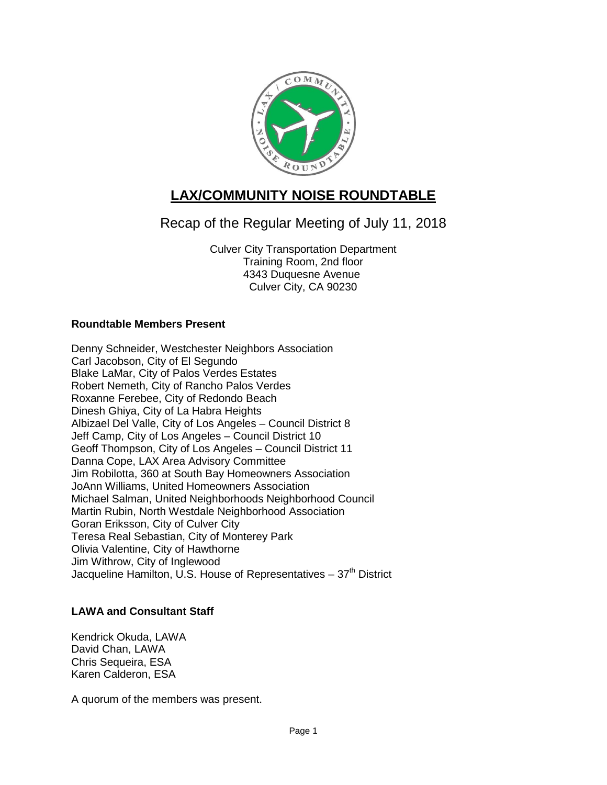

# **LAX/COMMUNITY NOISE ROUNDTABLE**

Recap of the Regular Meeting of July 11, 2018

Culver City Transportation Department Training Room, 2nd floor 4343 Duquesne Avenue Culver City, CA 90230

# **Roundtable Members Present**

Denny Schneider, Westchester Neighbors Association Carl Jacobson, City of El Segundo Blake LaMar, City of Palos Verdes Estates Robert Nemeth, City of Rancho Palos Verdes Roxanne Ferebee, City of Redondo Beach Dinesh Ghiya, City of La Habra Heights Albizael Del Valle, City of Los Angeles – Council District 8 Jeff Camp, City of Los Angeles – Council District 10 Geoff Thompson, City of Los Angeles – Council District 11 Danna Cope, LAX Area Advisory Committee Jim Robilotta, 360 at South Bay Homeowners Association JoAnn Williams, United Homeowners Association Michael Salman, United Neighborhoods Neighborhood Council Martin Rubin, North Westdale Neighborhood Association Goran Eriksson, City of Culver City Teresa Real Sebastian, City of Monterey Park Olivia Valentine, City of Hawthorne Jim Withrow, City of Inglewood Jacqueline Hamilton, U.S. House of Representatives  $-37<sup>th</sup>$  District

# **LAWA and Consultant Staff**

Kendrick Okuda, LAWA David Chan, LAWA Chris Sequeira, ESA Karen Calderon, ESA

A quorum of the members was present.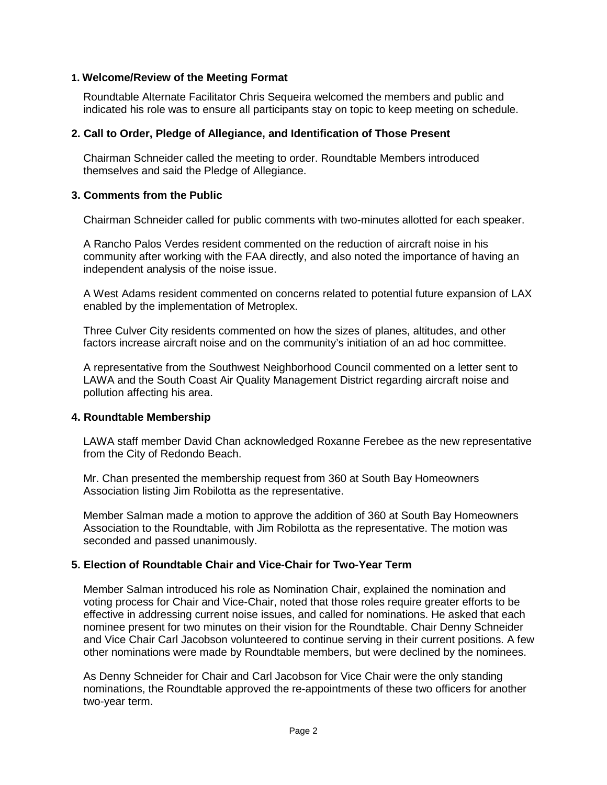# **1. Welcome/Review of the Meeting Format**

Roundtable Alternate Facilitator Chris Sequeira welcomed the members and public and indicated his role was to ensure all participants stay on topic to keep meeting on schedule.

#### **2. Call to Order, Pledge of Allegiance, and Identification of Those Present**

Chairman Schneider called the meeting to order. Roundtable Members introduced themselves and said the Pledge of Allegiance.

#### **3. Comments from the Public**

Chairman Schneider called for public comments with two-minutes allotted for each speaker.

A Rancho Palos Verdes resident commented on the reduction of aircraft noise in his community after working with the FAA directly, and also noted the importance of having an independent analysis of the noise issue.

A West Adams resident commented on concerns related to potential future expansion of LAX enabled by the implementation of Metroplex.

Three Culver City residents commented on how the sizes of planes, altitudes, and other factors increase aircraft noise and on the community's initiation of an ad hoc committee.

A representative from the Southwest Neighborhood Council commented on a letter sent to LAWA and the South Coast Air Quality Management District regarding aircraft noise and pollution affecting his area.

#### **4. Roundtable Membership**

LAWA staff member David Chan acknowledged Roxanne Ferebee as the new representative from the City of Redondo Beach.

Mr. Chan presented the membership request from 360 at South Bay Homeowners Association listing Jim Robilotta as the representative.

Member Salman made a motion to approve the addition of 360 at South Bay Homeowners Association to the Roundtable, with Jim Robilotta as the representative. The motion was seconded and passed unanimously.

#### **5. Election of Roundtable Chair and Vice-Chair for Two-Year Term**

Member Salman introduced his role as Nomination Chair, explained the nomination and voting process for Chair and Vice-Chair, noted that those roles require greater efforts to be effective in addressing current noise issues, and called for nominations. He asked that each nominee present for two minutes on their vision for the Roundtable. Chair Denny Schneider and Vice Chair Carl Jacobson volunteered to continue serving in their current positions. A few other nominations were made by Roundtable members, but were declined by the nominees.

As Denny Schneider for Chair and Carl Jacobson for Vice Chair were the only standing nominations, the Roundtable approved the re-appointments of these two officers for another two-year term.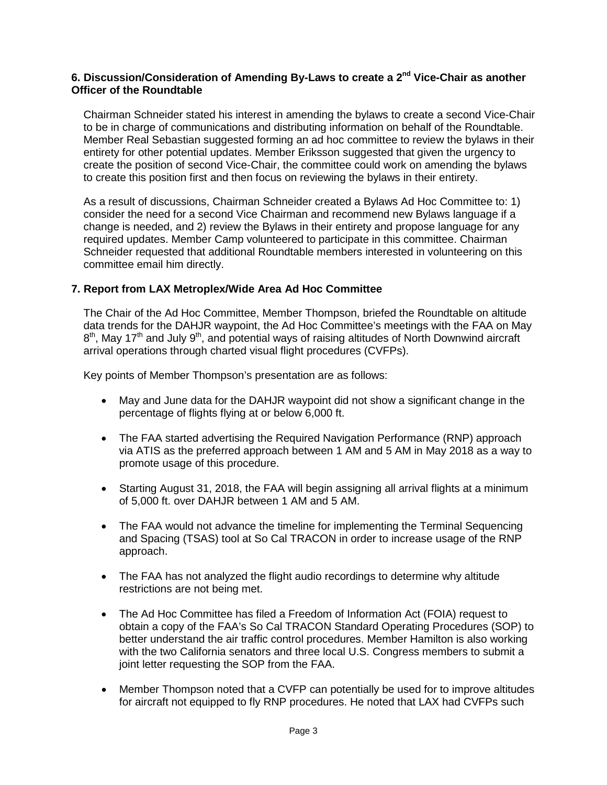# **6. Discussion/Consideration of Amending By-Laws to create a 2nd Vice-Chair as another Officer of the Roundtable**

Chairman Schneider stated his interest in amending the bylaws to create a second Vice-Chair to be in charge of communications and distributing information on behalf of the Roundtable. Member Real Sebastian suggested forming an ad hoc committee to review the bylaws in their entirety for other potential updates. Member Eriksson suggested that given the urgency to create the position of second Vice-Chair, the committee could work on amending the bylaws to create this position first and then focus on reviewing the bylaws in their entirety.

As a result of discussions, Chairman Schneider created a Bylaws Ad Hoc Committee to: 1) consider the need for a second Vice Chairman and recommend new Bylaws language if a change is needed, and 2) review the Bylaws in their entirety and propose language for any required updates. Member Camp volunteered to participate in this committee. Chairman Schneider requested that additional Roundtable members interested in volunteering on this committee email him directly.

# **7. Report from LAX Metroplex/Wide Area Ad Hoc Committee**

The Chair of the Ad Hoc Committee, Member Thompson, briefed the Roundtable on altitude data trends for the DAHJR waypoint, the Ad Hoc Committee's meetings with the FAA on May  $8<sup>th</sup>$ , May 17<sup>th</sup> and July 9<sup>th</sup>, and potential ways of raising altitudes of North Downwind aircraft arrival operations through charted visual flight procedures (CVFPs).

Key points of Member Thompson's presentation are as follows:

- May and June data for the DAHJR waypoint did not show a significant change in the percentage of flights flying at or below 6,000 ft.
- The FAA started advertising the Required Navigation Performance (RNP) approach via ATIS as the preferred approach between 1 AM and 5 AM in May 2018 as a way to promote usage of this procedure.
- Starting August 31, 2018, the FAA will begin assigning all arrival flights at a minimum of 5,000 ft. over DAHJR between 1 AM and 5 AM.
- The FAA would not advance the timeline for implementing the Terminal Sequencing and Spacing (TSAS) tool at So Cal TRACON in order to increase usage of the RNP approach.
- The FAA has not analyzed the flight audio recordings to determine why altitude restrictions are not being met.
- The Ad Hoc Committee has filed a Freedom of Information Act (FOIA) request to obtain a copy of the FAA's So Cal TRACON Standard Operating Procedures (SOP) to better understand the air traffic control procedures. Member Hamilton is also working with the two California senators and three local U.S. Congress members to submit a joint letter requesting the SOP from the FAA.
- Member Thompson noted that a CVFP can potentially be used for to improve altitudes for aircraft not equipped to fly RNP procedures. He noted that LAX had CVFPs such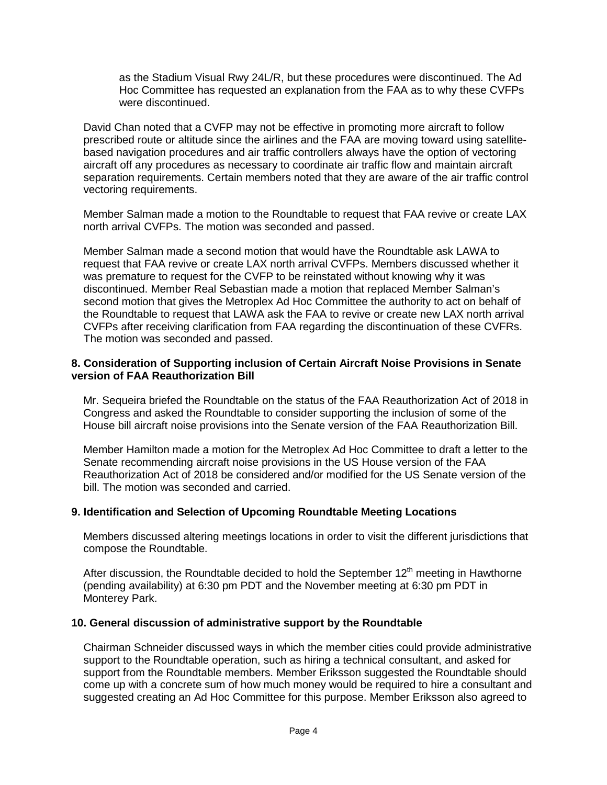as the Stadium Visual Rwy 24L/R, but these procedures were discontinued. The Ad Hoc Committee has requested an explanation from the FAA as to why these CVFPs were discontinued.

David Chan noted that a CVFP may not be effective in promoting more aircraft to follow prescribed route or altitude since the airlines and the FAA are moving toward using satellitebased navigation procedures and air traffic controllers always have the option of vectoring aircraft off any procedures as necessary to coordinate air traffic flow and maintain aircraft separation requirements. Certain members noted that they are aware of the air traffic control vectoring requirements.

Member Salman made a motion to the Roundtable to request that FAA revive or create LAX north arrival CVFPs. The motion was seconded and passed.

Member Salman made a second motion that would have the Roundtable ask LAWA to request that FAA revive or create LAX north arrival CVFPs. Members discussed whether it was premature to request for the CVFP to be reinstated without knowing why it was discontinued. Member Real Sebastian made a motion that replaced Member Salman's second motion that gives the Metroplex Ad Hoc Committee the authority to act on behalf of the Roundtable to request that LAWA ask the FAA to revive or create new LAX north arrival CVFPs after receiving clarification from FAA regarding the discontinuation of these CVFRs. The motion was seconded and passed.

# **8. Consideration of Supporting inclusion of Certain Aircraft Noise Provisions in Senate version of FAA Reauthorization Bill**

Mr. Sequeira briefed the Roundtable on the status of the FAA Reauthorization Act of 2018 in Congress and asked the Roundtable to consider supporting the inclusion of some of the House bill aircraft noise provisions into the Senate version of the FAA Reauthorization Bill.

Member Hamilton made a motion for the Metroplex Ad Hoc Committee to draft a letter to the Senate recommending aircraft noise provisions in the US House version of the FAA Reauthorization Act of 2018 be considered and/or modified for the US Senate version of the bill. The motion was seconded and carried.

# **9. Identification and Selection of Upcoming Roundtable Meeting Locations**

Members discussed altering meetings locations in order to visit the different jurisdictions that compose the Roundtable.

After discussion, the Roundtable decided to hold the September  $12<sup>th</sup>$  meeting in Hawthorne (pending availability) at 6:30 pm PDT and the November meeting at 6:30 pm PDT in Monterey Park.

# **10. General discussion of administrative support by the Roundtable**

Chairman Schneider discussed ways in which the member cities could provide administrative support to the Roundtable operation, such as hiring a technical consultant, and asked for support from the Roundtable members. Member Eriksson suggested the Roundtable should come up with a concrete sum of how much money would be required to hire a consultant and suggested creating an Ad Hoc Committee for this purpose. Member Eriksson also agreed to